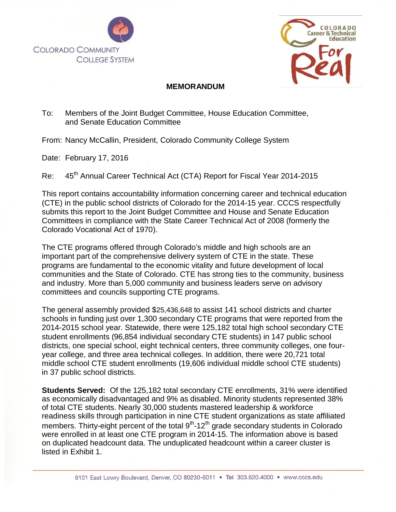



## **MEMORANDUM**

## To: Members of the Joint Budget Committee, House Education Committee, and Senate Education Committee

From: Nancy McCallin, President, Colorado Community College System

Date: February 17, 2016

*44th Annual CTA Report*

Re: 45<sup>th</sup> Annual Career Technical Act (CTA) Report for Fiscal Year 2014-2015

This report contains accountability information concerning career and technical education (CTE) in the public school districts of Colorado for the 2014-15 year. CCCS respectfully submits this report to the Joint Budget Committee and House and Senate Education Committees in compliance with the State Career Technical Act of 2008 (formerly the Colorado Vocational Act of 1970).

The CTE programs offered through Colorado's middle and high schools are an important part of the comprehensive delivery system of CTE in the state. These programs are fundamental to the economic vitality and future development of local communities and the State of Colorado. CTE has strong ties to the community, business and industry. More than 5,000 community and business leaders serve on advisory committees and councils supporting CTE programs.

The general assembly provided \$25,436,648 to assist 141 school districts and charter schools in funding just over 1,300 secondary CTE programs that were reported from the 2014-2015 school year. Statewide, there were 125,182 total high school secondary CTE student enrollments (96,854 individual secondary CTE students) in 147 public school districts, one special school, eight technical centers, three community colleges, one fouryear college, and three area technical colleges. In addition, there were 20,721 total middle school CTE student enrollments (19,606 individual middle school CTE students) in 37 public school districts.

**Students Served:** Of the 125,182 total secondary CTE enrollments, 31% were identified as economically disadvantaged and 9% as disabled. Minority students represented 38% of total CTE students. Nearly 30,000 students mastered leadership & workforce readiness skills through participation in nine CTE student organizations as state affiliated members. Thirty-eight percent of the total 9<sup>th</sup>-12<sup>th</sup> grade secondary students in Colorado were enrolled in at least one CTE program in 2014-15. The information above is based on duplicated headcount data. The unduplicated headcount within a career cluster is listed in Exhibit 1.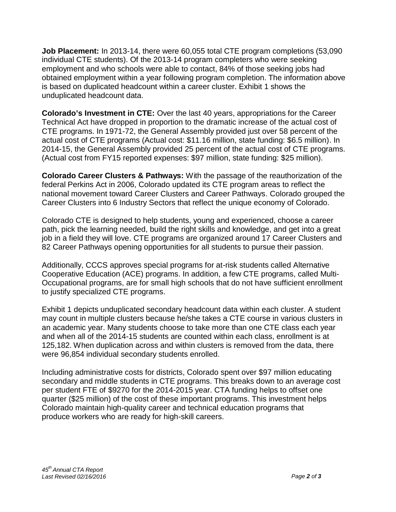**Job Placement:** In 2013-14, there were 60,055 total CTE program completions (53,090 individual CTE students). Of the 2013-14 program completers who were seeking employment and who schools were able to contact, 84% of those seeking jobs had obtained employment within a year following program completion. The information above is based on duplicated headcount within a career cluster. Exhibit 1 shows the unduplicated headcount data.

**Colorado's Investment in CTE:** Over the last 40 years, appropriations for the Career Technical Act have dropped in proportion to the dramatic increase of the actual cost of CTE programs. In 1971-72, the General Assembly provided just over 58 percent of the actual cost of CTE programs (Actual cost: \$11.16 million, state funding: \$6.5 million). In 2014-15, the General Assembly provided 25 percent of the actual cost of CTE programs. (Actual cost from FY15 reported expenses: \$97 million, state funding: \$25 million).

**Colorado Career Clusters & Pathways:** With the passage of the reauthorization of the federal Perkins Act in 2006, Colorado updated its CTE program areas to reflect the national movement toward Career Clusters and Career Pathways. Colorado grouped the Career Clusters into 6 Industry Sectors that reflect the unique economy of Colorado.

Colorado CTE is designed to help students, young and experienced, choose a career path, pick the learning needed, build the right skills and knowledge, and get into a great job in a field they will love. CTE programs are organized around 17 Career Clusters and 82 Career Pathways opening opportunities for all students to pursue their passion.

Additionally, CCCS approves special programs for at-risk students called Alternative Cooperative Education (ACE) programs. In addition, a few CTE programs, called Multi-Occupational programs, are for small high schools that do not have sufficient enrollment to justify specialized CTE programs.

Exhibit 1 depicts unduplicated secondary headcount data within each cluster. A student may count in multiple clusters because he/she takes a CTE course in various clusters in an academic year. Many students choose to take more than one CTE class each year and when all of the 2014-15 students are counted within each class, enrollment is at 125,182. When duplication across and within clusters is removed from the data, there were 96,854 individual secondary students enrolled.

Including administrative costs for districts, Colorado spent over \$97 million educating secondary and middle students in CTE programs. This breaks down to an average cost per student FTE of \$9270 for the 2014-2015 year. CTA funding helps to offset one quarter (\$25 million) of the cost of these important programs. This investment helps Colorado maintain high-quality career and technical education programs that produce workers who are ready for high-skill careers.